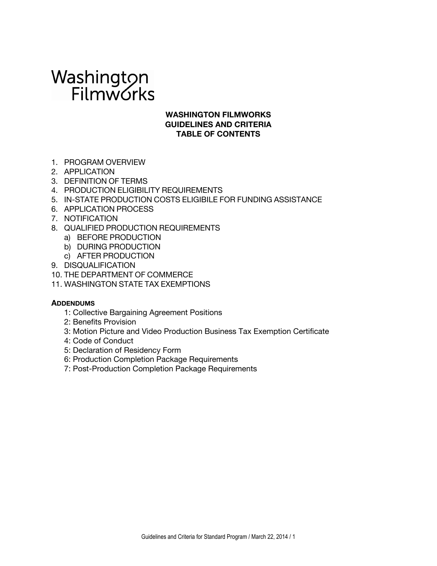# Washington<br>Filmworks

### **WASHINGTON FILMWORKS GUIDELINES AND CRITERIA TABLE OF CONTENTS**

- 1. PROGRAM OVERVIEW
- 2. APPLICATION
- 3. DEFINITION OF TERMS
- 4. PRODUCTION ELIGIBILITY REQUIREMENTS
- 5. IN-STATE PRODUCTION COSTS ELIGIBILE FOR FUNDING ASSISTANCE
- 6. APPLICATION PROCESS
- 7. NOTIFICATION
- 8. QUALIFIED PRODUCTION REQUIREMENTS
	- a) BEFORE PRODUCTION
	- b) DURING PRODUCTION
	- c) AFTER PRODUCTION
- 9. DISQUALIFICATION
- 10. THE DEPARTMENT OF COMMERCE
- 11. WASHINGTON STATE TAX EXEMPTIONS

### **ADDENDUMS**

- 1: Collective Bargaining Agreement Positions
- 2: Benefits Provision
- 3: Motion Picture and Video Production Business Tax Exemption Certificate
- 4: Code of Conduct
- 5: Declaration of Residency Form
- 6: Production Completion Package Requirements
- 7: Post-Production Completion Package Requirements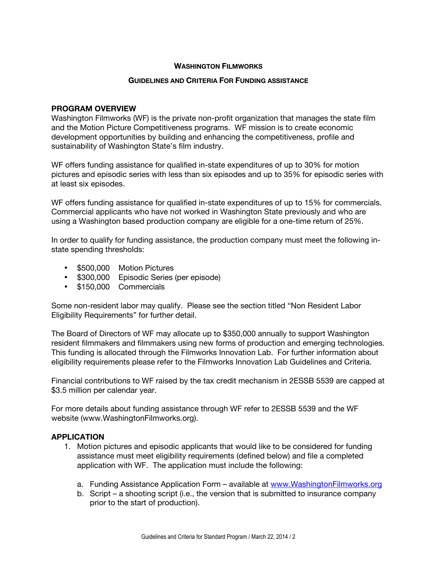### **WASHINGTON FILMWORKS**

### **GUIDELINES AND CRITERIA FOR FUNDING ASSISTANCE**

### **PROGRAM OVERVIEW**

Washington Filmworks (WF) is the private non-profit organization that manages the state film and the Motion Picture Competitiveness programs. WF mission is to create economic development opportunities by building and enhancing the competitiveness, profile and sustainability of Washington State's film industry.

WF offers funding assistance for qualified in-state expenditures of up to 30% for motion pictures and episodic series with less than six episodes and up to 35% for episodic series with at least six episodes.

WF offers funding assistance for qualified in-state expenditures of up to 15% for commercials. Commercial applicants who have not worked in Washington State previously and who are using a Washington based production company are eligible for a one-time return of 25%.

In order to qualify for funding assistance, the production company must meet the following instate spending thresholds:

- \$500,000 Motion Pictures
- \$300,000 Episodic Series (per episode)
- \$150,000 Commercials

Some non-resident labor may qualify. Please see the section titled "Non Resident Labor Eligibility Requirements" for further detail.

The Board of Directors of WF may allocate up to \$350,000 annually to support Washington resident filmmakers and filmmakers using new forms of production and emerging technologies. This funding is allocated through the Filmworks Innovation Lab. For further information about eligibility requirements please refer to the Filmworks Innovation Lab Guidelines and Criteria.

Financial contributions to WF raised by the tax credit mechanism in 2ESSB 5539 are capped at \$3.5 million per calendar year.

For more details about funding assistance through WF refer to 2ESSB 5539 and the WF website (www.WashingtonFilmworks.org).

### **APPLICATION**

- 1. Motion pictures and episodic applicants that would like to be considered for funding assistance must meet eligibility requirements (defined below) and file a completed application with WF. The application must include the following:
	- a. Funding Assistance Application Form available at www.WashingtonFilmworks.org
	- b. Script a shooting script (i.e., the version that is submitted to insurance company prior to the start of production).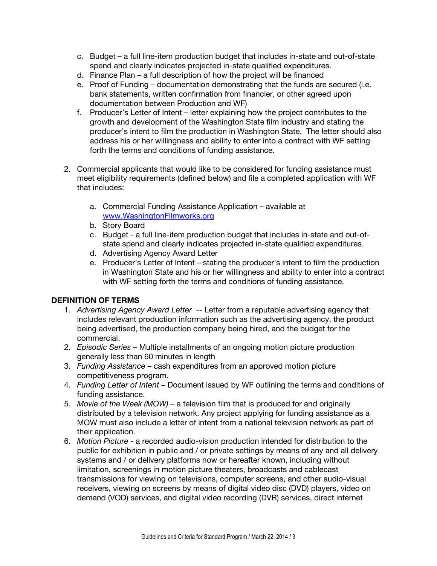- c. Budget a full line-item production budget that includes in-state and out-of-state spend and clearly indicates projected in-state qualified expenditures.
- d. Finance Plan a full description of how the project will be financed
- e. Proof of Funding documentation demonstrating that the funds are secured (i.e. bank statements, written confirmation from financier, or other agreed upon documentation between Production and WF)
- f. Producer's Letter of Intent letter explaining how the project contributes to the growth and development of the Washington State film industry and stating the producer's intent to film the production in Washington State. The letter should also address his or her willingness and ability to enter into a contract with WF setting forth the terms and conditions of funding assistance.
- 2. Commercial applicants that would like to be considered for funding assistance must meet eligibility requirements (defined below) and file a completed application with WF that includes:
	- a. Commercial Funding Assistance Application available at www.WashingtonFilmworks.org
	- b. Story Board
	- c. Budget a full line-item production budget that includes in-state and out-ofstate spend and clearly indicates projected in-state qualified expenditures.
	- d. Advertising Agency Award Letter
	- e. Producer's Letter of Intent stating the producer's intent to film the production in Washington State and his or her willingness and ability to enter into a contract with WF setting forth the terms and conditions of funding assistance.

# **DEFINITION OF TERMS**

- 1. *Advertising Agency Award Letter --* Letter from a reputable advertising agency that includes relevant production information such as the advertising agency, the product being advertised, the production company being hired, and the budget for the commercial.
- 2. *Episodic Series –* Multiple installments of an ongoing motion picture production generally less than 60 minutes in length
- 3. *Funding Assistance* cash expenditures from an approved motion picture competitiveness program.
- 4. *Funding Letter of Intent*  Document issued by WF outlining the terms and conditions of funding assistance.
- 5. *Movie of the Week (MOW)* a television film that is produced for and originally distributed by a television network. Any project applying for funding assistance as a MOW must also include a letter of intent from a national television network as part of their application.
- 6. *Motion Picture* a recorded audio-vision production intended for distribution to the public for exhibition in public and / or private settings by means of any and all delivery systems and / or delivery platforms now or hereafter known, including without limitation, screenings in motion picture theaters, broadcasts and cablecast transmissions for viewing on televisions, computer screens, and other audio-visual receivers, viewing on screens by means of digital video disc (DVD) players, video on demand (VOD) services, and digital video recording (DVR) services, direct internet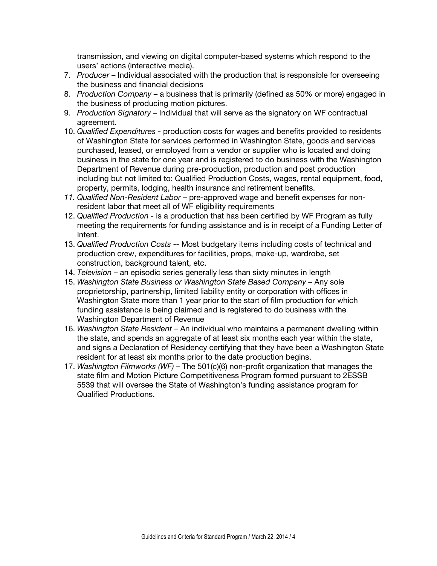transmission, and viewing on digital computer-based systems which respond to the users' actions (interactive media).

- 7. *Producer* Individual associated with the production that is responsible for overseeing the business and financial decisions
- 8. *Production Company*  a business that is primarily (defined as 50% or more) engaged in the business of producing motion pictures.
- 9. *Production Signatory*  Individual that will serve as the signatory on WF contractual agreement.
- 10. *Qualified Expenditures* production costs for wages and benefits provided to residents of Washington State for services performed in Washington State, goods and services purchased, leased, or employed from a vendor or supplier who is located and doing business in the state for one year and is registered to do business with the Washington Department of Revenue during pre-production, production and post production including but not limited to: Qualified Production Costs, wages, rental equipment, food, property, permits, lodging, health insurance and retirement benefits.
- *11. Qualified Non-Resident Labor* pre-approved wage and benefit expenses for nonresident labor that meet all of WF eligibility requirements
- 12. *Qualified Production*  is a production that has been certified by WF Program as fully meeting the requirements for funding assistance and is in receipt of a Funding Letter of Intent.
- 13. *Qualified Production Costs* -- Most budgetary items including costs of technical and production crew, expenditures for facilities, props, make-up, wardrobe, set construction, background talent, etc.
- 14. *Television* an episodic series generally less than sixty minutes in length
- 15. *Washington State Business or Washington State Based Company* Any sole proprietorship, partnership, limited liability entity or corporation with offices in Washington State more than 1 year prior to the start of film production for which funding assistance is being claimed and is registered to do business with the Washington Department of Revenue
- 16. *Washington State Resident* An individual who maintains a permanent dwelling within the state, and spends an aggregate of at least six months each year within the state, and signs a Declaration of Residency certifying that they have been a Washington State resident for at least six months prior to the date production begins.
- 17. *Washington Filmworks (WF)*  The 501(c)(6) non-profit organization that manages the state film and Motion Picture Competitiveness Program formed pursuant to 2ESSB 5539 that will oversee the State of Washington's funding assistance program for Qualified Productions.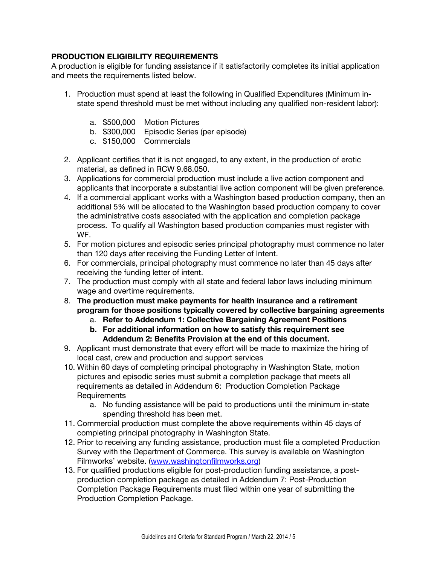### **PRODUCTION ELIGIBILITY REQUIREMENTS**

A production is eligible for funding assistance if it satisfactorily completes its initial application and meets the requirements listed below.

- 1. Production must spend at least the following in Qualified Expenditures (Minimum instate spend threshold must be met without including any qualified non-resident labor):
	- a. \$500,000 Motion Pictures
	- b. \$300,000 Episodic Series (per episode)
	- c. \$150,000 Commercials
- 2. Applicant certifies that it is not engaged, to any extent, in the production of erotic material, as defined in RCW 9.68.050.
- 3. Applications for commercial production must include a live action component and applicants that incorporate a substantial live action component will be given preference.
- 4. If a commercial applicant works with a Washington based production company, then an additional 5% will be allocated to the Washington based production company to cover the administrative costs associated with the application and completion package process. To qualify all Washington based production companies must register with WF.
- 5. For motion pictures and episodic series principal photography must commence no later than 120 days after receiving the Funding Letter of Intent.
- 6. For commercials, principal photography must commence no later than 45 days after receiving the funding letter of intent.
- 7. The production must comply with all state and federal labor laws including minimum wage and overtime requirements.
- 8. **The production must make payments for health insurance and a retirement program for those positions typically covered by collective bargaining agreements** 
	- a. **Refer to Addendum 1: Collective Bargaining Agreement Positions**
	- **b. For additional information on how to satisfy this requirement see Addendum 2: Benefits Provision at the end of this document.**
- 9. Applicant must demonstrate that every effort will be made to maximize the hiring of local cast, crew and production and support services
- 10. Within 60 days of completing principal photography in Washington State, motion pictures and episodic series must submit a completion package that meets all requirements as detailed in Addendum 6: Production Completion Package **Requirements** 
	- a. No funding assistance will be paid to productions until the minimum in-state spending threshold has been met.
- 11. Commercial production must complete the above requirements within 45 days of completing principal photography in Washington State.
- 12. Prior to receiving any funding assistance, production must file a completed Production Survey with the Department of Commerce. This survey is available on Washington Filmworks' website. (www.washingtonfilmworks.org)
- 13. For qualified productions eligible for post-production funding assistance, a postproduction completion package as detailed in Addendum 7: Post-Production Completion Package Requirements must filed within one year of submitting the Production Completion Package.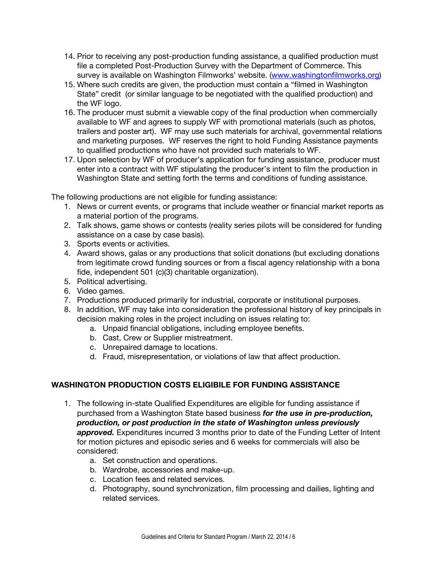- 14. Prior to receiving any post-production funding assistance, a qualified production must file a completed Post-Production Survey with the Department of Commerce. This survey is available on Washington Filmworks' website. (www.washingtonfilmworks.org)
- 15. Where such credits are given, the production must contain a "filmed in Washington State" credit (or similar language to be negotiated with the qualified production) and the WF logo.
- 16. The producer must submit a viewable copy of the final production when commercially available to WF and agrees to supply WF with promotional materials (such as photos, trailers and poster art). WF may use such materials for archival, governmental relations and marketing purposes. WF reserves the right to hold Funding Assistance payments to qualified productions who have not provided such materials to WF.
- 17. Upon selection by WF of producer's application for funding assistance, producer must enter into a contract with WF stipulating the producer's intent to film the production in Washington State and setting forth the terms and conditions of funding assistance.

The following productions are not eligible for funding assistance:

- 1. News or current events, or programs that include weather or financial market reports as a material portion of the programs.
- 2. Talk shows, game shows or contests (reality series pilots will be considered for funding assistance on a case by case basis).
- 3. Sports events or activities.
- 4. Award shows, galas or any productions that solicit donations (but excluding donations from legitimate crowd funding sources or from a fiscal agency relationship with a bona fide, independent 501 (c)(3) charitable organization).
- 5. Political advertising.
- 6. Video games.
- 7. Productions produced primarily for industrial, corporate or institutional purposes.
- 8. In addition, WF may take into consideration the professional history of key principals in decision making roles in the project including on issues relating to:
	- a. Unpaid financial obligations, including employee benefits.
	- b. Cast, Crew or Supplier mistreatment.
	- c. Unrepaired damage to locations.
	- d. Fraud, misrepresentation, or violations of law that affect production.

### **WASHINGTON PRODUCTION COSTS ELIGIBILE FOR FUNDING ASSISTANCE**

- 1. The following in-state Qualified Expenditures are eligible for funding assistance if purchased from a Washington State based business *for the use in pre-production, production, or post production in the state of Washington unless previously*  approved. Expenditures incurred 3 months prior to date of the Funding Letter of Intent for motion pictures and episodic series and 6 weeks for commercials will also be considered:
	- a. Set construction and operations.
	- b. Wardrobe, accessories and make-up.
	- c. Location fees and related services.
	- d. Photography, sound synchronization, film processing and dailies, lighting and related services.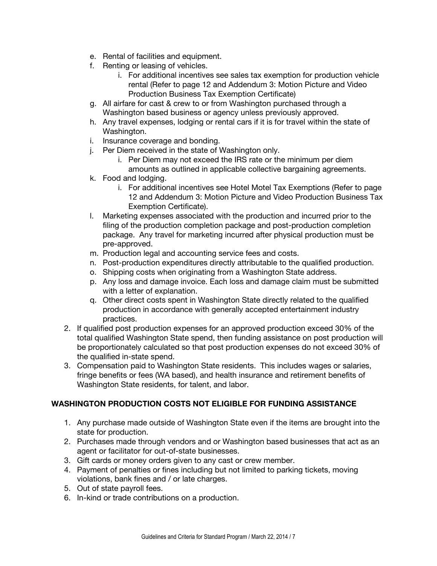- e. Rental of facilities and equipment.
- f. Renting or leasing of vehicles.
	- i. For additional incentives see sales tax exemption for production vehicle rental (Refer to page 12 and Addendum 3: Motion Picture and Video Production Business Tax Exemption Certificate)
- g. All airfare for cast & crew to or from Washington purchased through a Washington based business or agency unless previously approved.
- h. Any travel expenses, lodging or rental cars if it is for travel within the state of Washington.
- i. Insurance coverage and bonding.
- j. Per Diem received in the state of Washington only.
	- i. Per Diem may not exceed the IRS rate or the minimum per diem amounts as outlined in applicable collective bargaining agreements.
- k. Food and lodging.
	- i. For additional incentives see Hotel Motel Tax Exemptions (Refer to page 12 and Addendum 3: Motion Picture and Video Production Business Tax Exemption Certificate).
- l. Marketing expenses associated with the production and incurred prior to the filing of the production completion package and post-production completion package. Any travel for marketing incurred after physical production must be pre-approved.
- m. Production legal and accounting service fees and costs.
- n. Post-production expenditures directly attributable to the qualified production.
- o. Shipping costs when originating from a Washington State address.
- p. Any loss and damage invoice. Each loss and damage claim must be submitted with a letter of explanation.
- q. Other direct costs spent in Washington State directly related to the qualified production in accordance with generally accepted entertainment industry practices.
- 2. If qualified post production expenses for an approved production exceed 30% of the total qualified Washington State spend, then funding assistance on post production will be proportionately calculated so that post production expenses do not exceed 30% of the qualified in-state spend.
- 3. Compensation paid to Washington State residents. This includes wages or salaries, fringe benefits or fees (WA based), and health insurance and retirement benefits of Washington State residents, for talent, and labor.

# **WASHINGTON PRODUCTION COSTS NOT ELIGIBLE FOR FUNDING ASSISTANCE**

- 1. Any purchase made outside of Washington State even if the items are brought into the state for production.
- 2. Purchases made through vendors and or Washington based businesses that act as an agent or facilitator for out-of-state businesses.
- 3. Gift cards or money orders given to any cast or crew member.
- 4. Payment of penalties or fines including but not limited to parking tickets, moving violations, bank fines and / or late charges.
- 5. Out of state payroll fees.
- 6. In-kind or trade contributions on a production.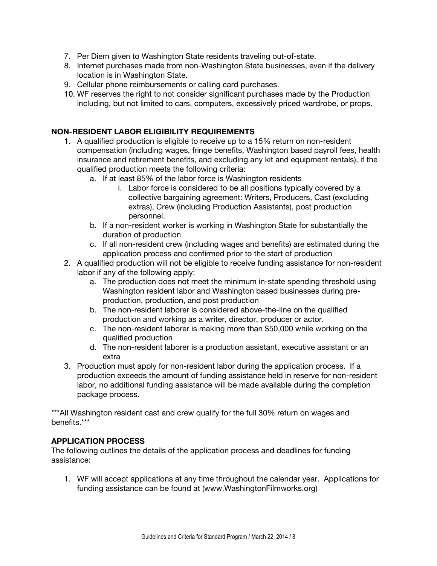- 7. Per Diem given to Washington State residents traveling out-of-state.
- 8. Internet purchases made from non-Washington State businesses, even if the delivery location is in Washington State.
- 9. Cellular phone reimbursements or calling card purchases.
- 10. WF reserves the right to not consider significant purchases made by the Production including, but not limited to cars, computers, excessively priced wardrobe, or props.

### **NON-RESIDENT LABOR ELIGIBILITY REQUIREMENTS**

- 1. A qualified production is eligible to receive up to a 15% return on non-resident compensation (including wages, fringe benefits, Washington based payroll fees, health insurance and retirement benefits, and excluding any kit and equipment rentals), if the qualified production meets the following criteria:
	- a. If at least 85% of the labor force is Washington residents
		- i. Labor force is considered to be all positions typically covered by a collective bargaining agreement: Writers, Producers, Cast (excluding extras), Crew (including Production Assistants), post production personnel.
	- b. If a non-resident worker is working in Washington State for substantially the duration of production
	- c. If all non-resident crew (including wages and benefits) are estimated during the application process and confirmed prior to the start of production
- 2. A qualified production will not be eligible to receive funding assistance for non-resident labor if any of the following apply:
	- a. The production does not meet the minimum in-state spending threshold using Washington resident labor and Washington based businesses during preproduction, production, and post production
	- b. The non-resident laborer is considered above-the-line on the qualified production and working as a writer, director, producer or actor.
	- c. The non-resident laborer is making more than \$50,000 while working on the qualified production
	- d. The non-resident laborer is a production assistant, executive assistant or an extra
- 3. Production must apply for non-resident labor during the application process. If a production exceeds the amount of funding assistance held in reserve for non-resident labor, no additional funding assistance will be made available during the completion package process.

\*\*\*All Washington resident cast and crew qualify for the full 30% return on wages and benefits.\*\*\*

### **APPLICATION PROCESS**

The following outlines the details of the application process and deadlines for funding assistance:

1. WF will accept applications at any time throughout the calendar year. Applications for funding assistance can be found at (www.WashingtonFilmworks.org)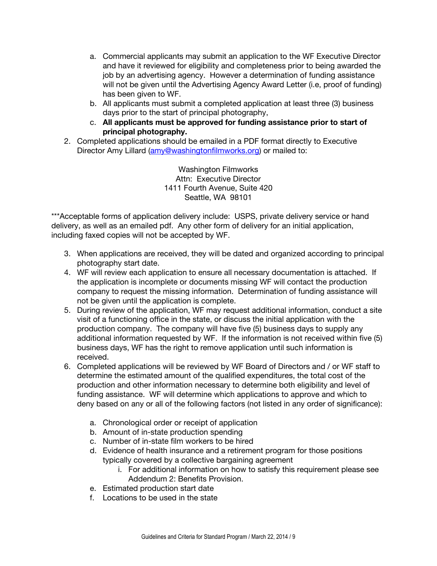- a. Commercial applicants may submit an application to the WF Executive Director and have it reviewed for eligibility and completeness prior to being awarded the job by an advertising agency. However a determination of funding assistance will not be given until the Advertising Agency Award Letter (i.e, proof of funding) has been given to WF.
- b. All applicants must submit a completed application at least three (3) business days prior to the start of principal photography,
- c. **All applicants must be approved for funding assistance prior to start of principal photography.**
- 2. Completed applications should be emailed in a PDF format directly to Executive Director Amy Lillard (amy@washingtonfilmworks.org) or mailed to:

Washington Filmworks Attn: Executive Director 1411 Fourth Avenue, Suite 420 Seattle, WA 98101

\*\*\*Acceptable forms of application delivery include: USPS, private delivery service or hand delivery, as well as an emailed pdf. Any other form of delivery for an initial application, including faxed copies will not be accepted by WF.

- 3. When applications are received, they will be dated and organized according to principal photography start date.
- 4. WF will review each application to ensure all necessary documentation is attached. If the application is incomplete or documents missing WF will contact the production company to request the missing information. Determination of funding assistance will not be given until the application is complete.
- 5. During review of the application, WF may request additional information, conduct a site visit of a functioning office in the state, or discuss the initial application with the production company. The company will have five (5) business days to supply any additional information requested by WF. If the information is not received within five (5) business days, WF has the right to remove application until such information is received.
- 6. Completed applications will be reviewed by WF Board of Directors and / or WF staff to determine the estimated amount of the qualified expenditures, the total cost of the production and other information necessary to determine both eligibility and level of funding assistance. WF will determine which applications to approve and which to deny based on any or all of the following factors (not listed in any order of significance):
	- a. Chronological order or receipt of application
	- b. Amount of in-state production spending
	- c. Number of in-state film workers to be hired
	- d. Evidence of health insurance and a retirement program for those positions typically covered by a collective bargaining agreement
		- i. For additional information on how to satisfy this requirement please see Addendum 2: Benefits Provision.
	- e. Estimated production start date
	- f. Locations to be used in the state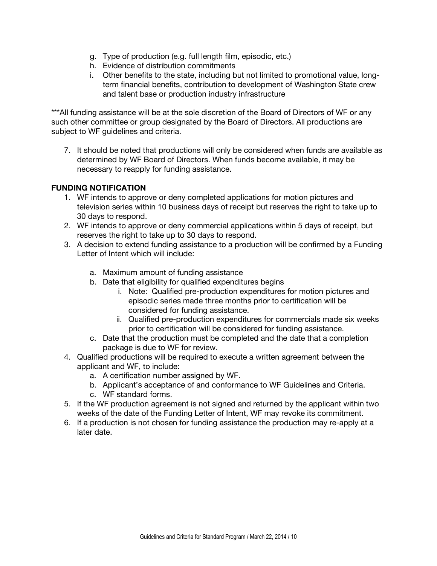- g. Type of production (e.g. full length film, episodic, etc.)
- h. Evidence of distribution commitments
- i. Other benefits to the state, including but not limited to promotional value, longterm financial benefits, contribution to development of Washington State crew and talent base or production industry infrastructure

\*\*\*All funding assistance will be at the sole discretion of the Board of Directors of WF or any such other committee or group designated by the Board of Directors. All productions are subject to WF guidelines and criteria.

7. It should be noted that productions will only be considered when funds are available as determined by WF Board of Directors. When funds become available, it may be necessary to reapply for funding assistance.

### **FUNDING NOTIFICATION**

- 1. WF intends to approve or deny completed applications for motion pictures and television series within 10 business days of receipt but reserves the right to take up to 30 days to respond.
- 2. WF intends to approve or deny commercial applications within 5 days of receipt, but reserves the right to take up to 30 days to respond.
- 3. A decision to extend funding assistance to a production will be confirmed by a Funding Letter of Intent which will include:
	- a. Maximum amount of funding assistance
	- b. Date that eligibility for qualified expenditures begins
		- i. Note: Qualified pre-production expenditures for motion pictures and episodic series made three months prior to certification will be considered for funding assistance.
		- ii. Qualified pre-production expenditures for commercials made six weeks prior to certification will be considered for funding assistance.
	- c. Date that the production must be completed and the date that a completion package is due to WF for review.
- 4. Qualified productions will be required to execute a written agreement between the applicant and WF, to include:
	- a. A certification number assigned by WF.
	- b. Applicant's acceptance of and conformance to WF Guidelines and Criteria.
	- c. WF standard forms.
- 5. If the WF production agreement is not signed and returned by the applicant within two weeks of the date of the Funding Letter of Intent, WF may revoke its commitment.
- 6. If a production is not chosen for funding assistance the production may re-apply at a later date.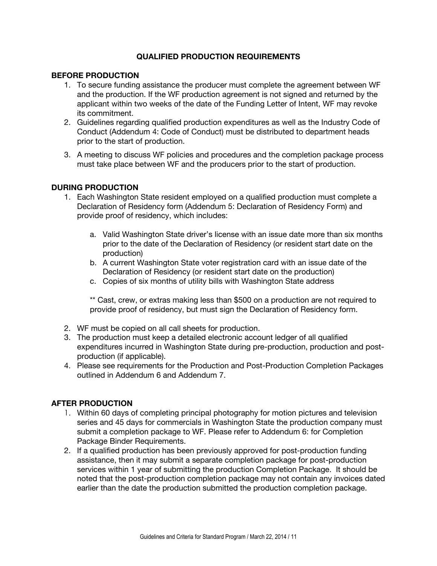### **QUALIFIED PRODUCTION REQUIREMENTS**

### **BEFORE PRODUCTION**

- 1. To secure funding assistance the producer must complete the agreement between WF and the production. If the WF production agreement is not signed and returned by the applicant within two weeks of the date of the Funding Letter of Intent, WF may revoke its commitment.
- 2. Guidelines regarding qualified production expenditures as well as the Industry Code of Conduct (Addendum 4: Code of Conduct) must be distributed to department heads prior to the start of production.
- 3. A meeting to discuss WF policies and procedures and the completion package process must take place between WF and the producers prior to the start of production.

### **DURING PRODUCTION**

- 1. Each Washington State resident employed on a qualified production must complete a Declaration of Residency form (Addendum 5: Declaration of Residency Form) and provide proof of residency, which includes:
	- a. Valid Washington State driver's license with an issue date more than six months prior to the date of the Declaration of Residency (or resident start date on the production)
	- b. A current Washington State voter registration card with an issue date of the Declaration of Residency (or resident start date on the production)
	- c. Copies of six months of utility bills with Washington State address

\*\* Cast, crew, or extras making less than \$500 on a production are not required to provide proof of residency, but must sign the Declaration of Residency form.

- 2. WF must be copied on all call sheets for production.
- 3. The production must keep a detailed electronic account ledger of all qualified expenditures incurred in Washington State during pre-production, production and postproduction (if applicable).
- 4. Please see requirements for the Production and Post-Production Completion Packages outlined in Addendum 6 and Addendum 7.

### **AFTER PRODUCTION**

- 1. Within 60 days of completing principal photography for motion pictures and television series and 45 days for commercials in Washington State the production company must submit a completion package to WF. Please refer to Addendum 6: for Completion Package Binder Requirements.
- 2. If a qualified production has been previously approved for post-production funding assistance, then it may submit a separate completion package for post-production services within 1 year of submitting the production Completion Package. It should be noted that the post-production completion package may not contain any invoices dated earlier than the date the production submitted the production completion package.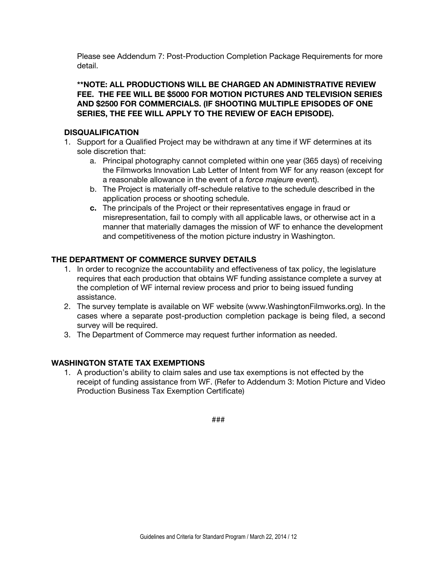Please see Addendum 7: Post-Production Completion Package Requirements for more detail.

### **\*\*NOTE: ALL PRODUCTIONS WILL BE CHARGED AN ADMINISTRATIVE REVIEW FEE. THE FEE WILL BE \$5000 FOR MOTION PICTURES AND TELEVISION SERIES AND \$2500 FOR COMMERCIALS. (IF SHOOTING MULTIPLE EPISODES OF ONE SERIES, THE FEE WILL APPLY TO THE REVIEW OF EACH EPISODE).**

### **DISQUALIFICATION**

- 1. Support for a Qualified Project may be withdrawn at any time if WF determines at its sole discretion that:
	- a. Principal photography cannot completed within one year (365 days) of receiving the Filmworks Innovation Lab Letter of Intent from WF for any reason (except for a reasonable allowance in the event of a *force majeure* event).
	- b. The Project is materially off-schedule relative to the schedule described in the application process or shooting schedule.
	- **c.** The principals of the Project or their representatives engage in fraud or misrepresentation, fail to comply with all applicable laws, or otherwise act in a manner that materially damages the mission of WF to enhance the development and competitiveness of the motion picture industry in Washington.

### **THE DEPARTMENT OF COMMERCE SURVEY DETAILS**

- 1. In order to recognize the accountability and effectiveness of tax policy, the legislature requires that each production that obtains WF funding assistance complete a survey at the completion of WF internal review process and prior to being issued funding assistance.
- 2. The survey template is available on WF website (www.WashingtonFilmworks.org). In the cases where a separate post-production completion package is being filed, a second survey will be required.
- 3. The Department of Commerce may request further information as needed.

### **WASHINGTON STATE TAX EXEMPTIONS**

1. A production's ability to claim sales and use tax exemptions is not effected by the receipt of funding assistance from WF. (Refer to Addendum 3: Motion Picture and Video Production Business Tax Exemption Certificate)

###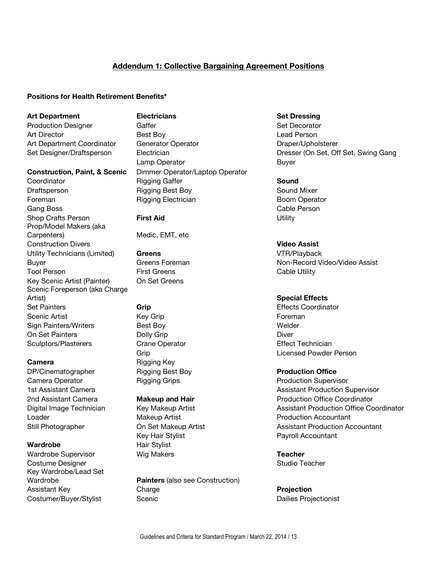# **Addendum 1: Collective Bargaining Agreement Positions**

### **Positions for Health Retirement Benefits\***

Gang Boss **Cable Person** Shop Crafts Person **First Aid** Utility Prop/Model Makers (aka Carpenters) Medic, EMT, etc Construction Divers **Video Assist** Utility Technicians (Limited) **Greens** VTR/Playback Tool Person **First Greens** First Greens Cable Utility Key Scenic Artist (Painter) On Set Greens Scenic Foreperson (aka Charge Artist) **Special Effects Set Painters <b>Grip** Grip Community Construction Construction Construction Construction Construction Construction Construction Construction Construction Construction Construction Construction Construction Construction Cons Scenic Artist **Example 20** Key Grip Foreman **Foreman** Sign Painters/Writers **Best Boy** Best Boy **Welder** On Set Painters **Dolly Grip** Diver Sculptors/Plasterers Crane Operator Crane Cremician Effect Technician

DP/Cinematographer Rigging Best Boy **Production Office** Camera Operator **Rigging Grips Rigging Grips Production Supervisor** Loader **Makeup Artist Production Accountant Containers Makeup Artist Production Accountant** 

Wardrobe Supervisor Wig Makers **Teacher** Costume Designer Natural Costume Designer Natural Costume Designer Natural Costume Designer Natural Costume Designer Key Wardrobe/Lead Set

**Art Department Electricians Set Dressing** Production Designer Gaffer Set Decorator Casset Because Set Decorator Art Director **Best Boy** Best Boy **Contained Best Boy Lead Person** Art Department Coordinator Generator Operator **Coordinator** Draper/Upholsterer Lamp Operator **Buyer** Buyer **Construction, Paint, & Scenic** Dimmer Operator/Laptop Operator Coordinator Rigging Gaffer **Sound** Draftsperson **Rigging Best Boy** Sound Mixer Foreman **Rigging Electrician** Boom Operator

**Camera** Rigging Key

Key Hair Stylist **Payroll Accountant** Wardrobe Hair Stylist

Wardrobe **Painters** (also see Construction) Assistant Key Charge **Projection** Costumer/Buyer/Stylist Scenic Scenic Dailies Projectionist

Set Designer/Draftsperson Electrician Electrician Dresser (On Set, Off Set, Swing Gang

Buyer Greens Foreman Non-Record Video/Video Assist

Grip Licensed Powder Person

1st Assistant Camera **Assistant Camera** Assistant Production Supervisor 2nd Assistant Camera **Makeup and Hair** Production Office Coordinator Digital Image Technician Key Makeup Artist **Assistant Production Office Coordinator** Assistant Production Office Coordinator Still Photographer **Communist Con Set Makeup Artist** Assistant Production Accountant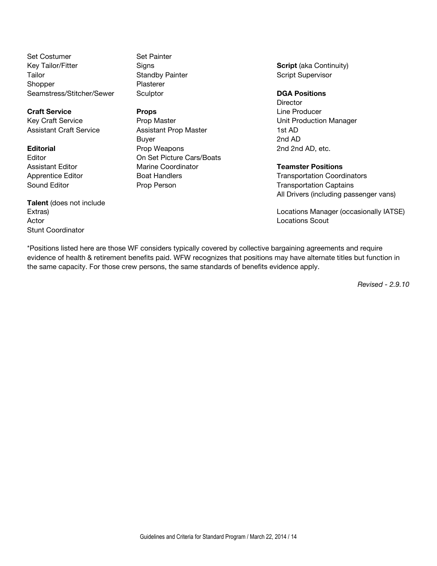Set Costumer Set Painter Key Tailor/Fitter Signs **Script** (aka Continuity) Tailor **Standby Painter Standby Painter** Script Supervisor Shopper Plasterer Seamstress/Stitcher/Sewer Sculptor **DGA Positions**

**Craft Service Props Props Props Line Producer** 

**Talent** (does not include Actor **Locations Scout** Stunt Coordinator

Key Craft Service **Prop Master** Prop Master **New York Craft Service** Unit Production Manager Assistant Craft Service Assistant Prop Master 1st AD Buyer 2nd AD **Editorial** Prop Weapons 2nd 2nd AD, etc. Editor **Cars/Boats** On Set Picture Cars/Boats Assistant Editor Marine Coordinator **Teamster Positions** Sound Editor **Prop Person** Prop Person Transportation Captains

**Director** 

Apprentice Editor **Boat Handlers** Transportation Coordinators All Drivers (including passenger vans)

Extras) Locations Manager (occasionally IATSE)

\*Positions listed here are those WF considers typically covered by collective bargaining agreements and require evidence of health & retirement benefits paid. WFW recognizes that positions may have alternate titles but function in the same capacity. For those crew persons, the same standards of benefits evidence apply.

*Revised - 2.9.10*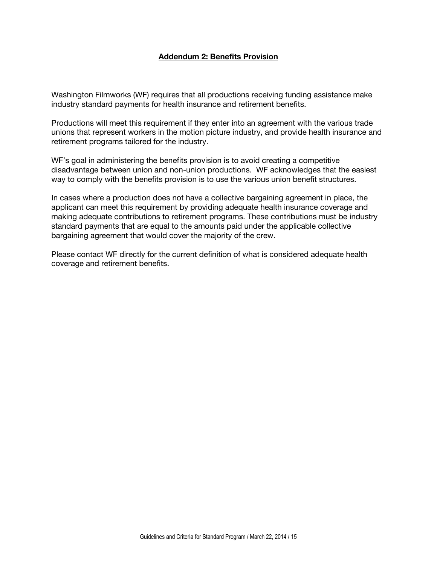### **Addendum 2: Benefits Provision**

Washington Filmworks (WF) requires that all productions receiving funding assistance make industry standard payments for health insurance and retirement benefits.

Productions will meet this requirement if they enter into an agreement with the various trade unions that represent workers in the motion picture industry, and provide health insurance and retirement programs tailored for the industry.

WF's goal in administering the benefits provision is to avoid creating a competitive disadvantage between union and non-union productions. WF acknowledges that the easiest way to comply with the benefits provision is to use the various union benefit structures.

In cases where a production does not have a collective bargaining agreement in place, the applicant can meet this requirement by providing adequate health insurance coverage and making adequate contributions to retirement programs. These contributions must be industry standard payments that are equal to the amounts paid under the applicable collective bargaining agreement that would cover the majority of the crew.

Please contact WF directly for the current definition of what is considered adequate health coverage and retirement benefits.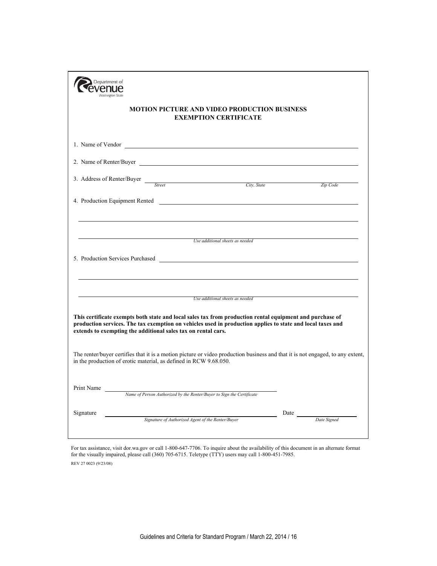| Department of<br>'enue<br><b>Washington State</b><br><b>MOTION PICTURE AND VIDEO PRODUCTION BUSINESS</b><br><b>EXEMPTION CERTIFICATE</b>                                                            |                                   |  |
|-----------------------------------------------------------------------------------------------------------------------------------------------------------------------------------------------------|-----------------------------------|--|
| 1. Name of Vendor                                                                                                                                                                                   |                                   |  |
|                                                                                                                                                                                                     |                                   |  |
| 3. Address of Renter/Buyer <i>Street City, State</i>                                                                                                                                                | Zip Code                          |  |
| 4. Production Equipment Rented                                                                                                                                                                      |                                   |  |
| Use additional sheets as needed<br>5. Production Services Purchased                                                                                                                                 |                                   |  |
| Use additional sheets as needed<br>This certificate exempts both state and local sales tax from production rental equipment and purchase of                                                         |                                   |  |
| production services. The tax exemption on vehicles used in production applies to state and local taxes and<br>extends to exempting the additional sales tax on rental cars.                         |                                   |  |
| The renter/buyer certifies that it is a motion picture or video production business and that it is not engaged, to any extent,<br>in the production of erotic material, as defined in RCW 9.68.050. |                                   |  |
| Print Name<br>Name of Person Authorized by the Renter/Buyer to Sign the Certificate                                                                                                                 |                                   |  |
| Signature<br>Signature of Authorized Agent of the Renter/Buyer                                                                                                                                      | Date $\frac{ }{ }$<br>Date Signed |  |

For tax assistance, visit dor.wa.gov or call 1-800-647-7706. To inquire about the availability of this document in an alternate format for the visually impaired, please call (360) 705-6715. Teletype (TTY) users may call 1-800-451-7985. REV 27 0023 (9/23/08)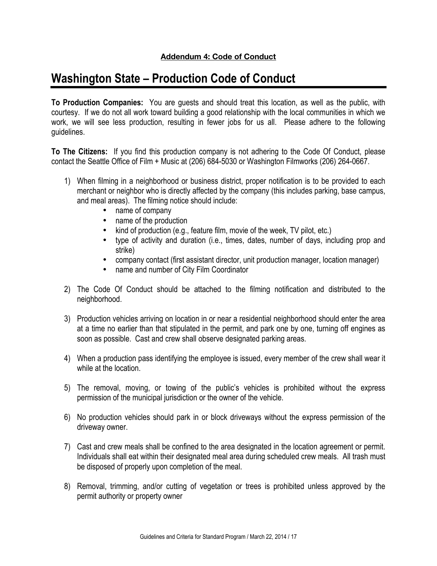# **Addendum 4: Code of Conduct**

# **Washington State – Production Code of Conduct**

**To Production Companies:** You are guests and should treat this location, as well as the public, with courtesy. If we do not all work toward building a good relationship with the local communities in which we work, we will see less production, resulting in fewer jobs for us all. Please adhere to the following guidelines.

**To The Citizens:** If you find this production company is not adhering to the Code Of Conduct, please contact the Seattle Office of Film + Music at (206) 684-5030 or Washington Filmworks (206) 264-0667.

- 1) When filming in a neighborhood or business district, proper notification is to be provided to each merchant or neighbor who is directly affected by the company (this includes parking, base campus, and meal areas). The filming notice should include:
	- name of company
	- name of the production<br>• kind of production (e.g.,
	- kind of production (e.g., feature film, movie of the week, TV pilot, etc.)
	- type of activity and duration (i.e., times, dates, number of days, including prop and strike)
	- company contact (first assistant director, unit production manager, location manager)
	- name and number of City Film Coordinator
- 2) The Code Of Conduct should be attached to the filming notification and distributed to the neighborhood.
- 3) Production vehicles arriving on location in or near a residential neighborhood should enter the area at a time no earlier than that stipulated in the permit, and park one by one, turning off engines as soon as possible. Cast and crew shall observe designated parking areas.
- 4) When a production pass identifying the employee is issued, every member of the crew shall wear it while at the location.
- 5) The removal, moving, or towing of the public's vehicles is prohibited without the express permission of the municipal jurisdiction or the owner of the vehicle.
- 6) No production vehicles should park in or block driveways without the express permission of the driveway owner.
- 7) Cast and crew meals shall be confined to the area designated in the location agreement or permit. Individuals shall eat within their designated meal area during scheduled crew meals. All trash must be disposed of properly upon completion of the meal.
- 8) Removal, trimming, and/or cutting of vegetation or trees is prohibited unless approved by the permit authority or property owner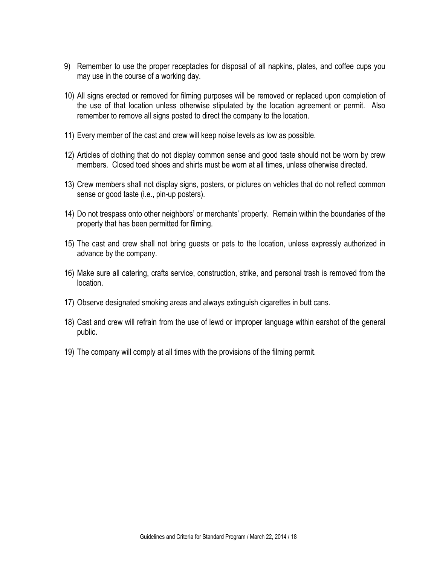- 9) Remember to use the proper receptacles for disposal of all napkins, plates, and coffee cups you may use in the course of a working day.
- 10) All signs erected or removed for filming purposes will be removed or replaced upon completion of the use of that location unless otherwise stipulated by the location agreement or permit. Also remember to remove all signs posted to direct the company to the location.
- 11) Every member of the cast and crew will keep noise levels as low as possible.
- 12) Articles of clothing that do not display common sense and good taste should not be worn by crew members. Closed toed shoes and shirts must be worn at all times, unless otherwise directed.
- 13) Crew members shall not display signs, posters, or pictures on vehicles that do not reflect common sense or good taste (i.e., pin-up posters).
- 14) Do not trespass onto other neighbors' or merchants' property. Remain within the boundaries of the property that has been permitted for filming.
- 15) The cast and crew shall not bring guests or pets to the location, unless expressly authorized in advance by the company.
- 16) Make sure all catering, crafts service, construction, strike, and personal trash is removed from the location.
- 17) Observe designated smoking areas and always extinguish cigarettes in butt cans.
- 18) Cast and crew will refrain from the use of lewd or improper language within earshot of the general public.
- 19) The company will comply at all times with the provisions of the filming permit.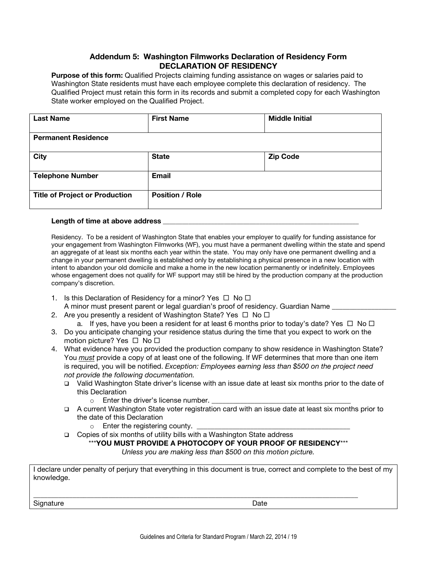### **Addendum 5: Washington Filmworks Declaration of Residency Form DECLARATION OF RESIDENCY**

**Purpose of this form:** Qualified Projects claiming funding assistance on wages or salaries paid to Washington State residents must have each employee complete this declaration of residency. The Qualified Project must retain this form in its records and submit a completed copy for each Washington State worker employed on the Qualified Project.

| <b>Last Name</b>                      | <b>First Name</b>      | <b>Middle Initial</b> |  |
|---------------------------------------|------------------------|-----------------------|--|
| <b>Permanent Residence</b>            |                        |                       |  |
| <b>City</b>                           | <b>State</b>           | <b>Zip Code</b>       |  |
| <b>Telephone Number</b>               | <b>Email</b>           |                       |  |
| <b>Title of Project or Production</b> | <b>Position / Role</b> |                       |  |

### Length of time at above address

Residency. To be a resident of Washington State that enables your employer to qualify for funding assistance for your engagement from Washington Filmworks (WF), you must have a permanent dwelling within the state and spend an aggregate of at least six months each year within the state. You may only have one permanent dwelling and a change in your permanent dwelling is established only by establishing a physical presence in a new location with intent to abandon your old domicile and make a home in the new location permanently or indefinitely. Employees whose engagement does not qualify for WF support may still be hired by the production company at the production company's discretion.

- 1. Is this Declaration of Residency for a minor? Yes  $\Box$  No  $\Box$ A minor must present parent or legal guardian's proof of residency. Guardian Name
- 2. Are you presently a resident of Washington State? Yes  $\Box$  No  $\Box$ 
	- a. If yes, have you been a resident for at least 6 months prior to today's date? Yes  $\Box$  No  $\Box$
- 3. Do you anticipate changing your residence status during the time that you expect to work on the motion picture? Yes  $\Box$  No  $\Box$
- 4. What evidence have you provided the production company to show residence in Washington State? You *must* provide a copy of at least one of the following. If WF determines that more than one item is required, you will be notified. *Exception: Employees earning less than \$500 on the project need not provide the following documentation.*
	- Valid Washington State driver's license with an issue date at least six months prior to the date of this Declaration
		- $\circ$  Enter the driver's license number.
	- A current Washington State voter registration card with an issue date at least six months prior to the date of this Declaration
		- $\circ$  Enter the registering county.
	- □ Copies of six months of utility bills with a Washington State address

\_\_\_\_\_\_\_\_\_\_\_\_\_\_\_\_\_\_\_\_\_\_\_\_\_\_\_\_\_\_\_\_\_\_\_\_\_\_\_\_\_\_\_\_\_\_\_\_\_\_\_\_\_\_\_\_\_\_\_\_\_\_\_\_\_\_\_\_\_\_\_\_\_\_\_\_\_\_\_\_\_\_\_\_\_\_\_\_\_\_\_

### \*\*\***YOU MUST PROVIDE A PHOTOCOPY OF YOUR PROOF OF RESIDENCY**\*\*\*

*Unless you are making less than \$500 on this motion picture.*

I declare under penalty of perjury that everything in this document is true, correct and complete to the best of my knowledge.

Signature Date Date **Date**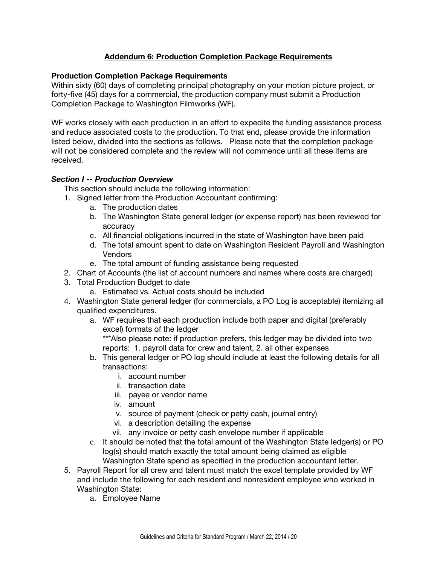# **Addendum 6: Production Completion Package Requirements**

### **Production Completion Package Requirements**

Within sixty (60) days of completing principal photography on your motion picture project, or forty-five (45) days for a commercial, the production company must submit a Production Completion Package to Washington Filmworks (WF).

WF works closely with each production in an effort to expedite the funding assistance process and reduce associated costs to the production. To that end, please provide the information listed below, divided into the sections as follows. Please note that the completion package will not be considered complete and the review will not commence until all these items are received.

### *Section I -- Production Overview*

This section should include the following information:

- 1. Signed letter from the Production Accountant confirming:
	- a. The production dates
	- b. The Washington State general ledger (or expense report) has been reviewed for accuracy
	- c. All financial obligations incurred in the state of Washington have been paid
	- d. The total amount spent to date on Washington Resident Payroll and Washington Vendors
	- e. The total amount of funding assistance being requested
- 2. Chart of Accounts (the list of account numbers and names where costs are charged)
- 3. Total Production Budget to date
	- a. Estimated vs. Actual costs should be included
- 4. Washington State general ledger (for commercials, a PO Log is acceptable) itemizing all qualified expenditures.
	- a. WF requires that each production include both paper and digital (preferably excel) formats of the ledger \*\*\*Also please note: if production prefers, this ledger may be divided into two

reports: 1. payroll data for crew and talent, 2. all other expenses

- b. This general ledger or PO log should include at least the following details for all transactions:
	- i. account number
	- ii. transaction date
	- iii. payee or vendor name
	- iv. amount
	- v. source of payment (check or petty cash, journal entry)
	- vi. a description detailing the expense
	- vii. any invoice or petty cash envelope number if applicable
- c. It should be noted that the total amount of the Washington State ledger(s) or PO log(s) should match exactly the total amount being claimed as eligible Washington State spend as specified in the production accountant letter.
- 5. Payroll Report for all crew and talent must match the excel template provided by WF and include the following for each resident and nonresident employee who worked in Washington State:
	- a. Employee Name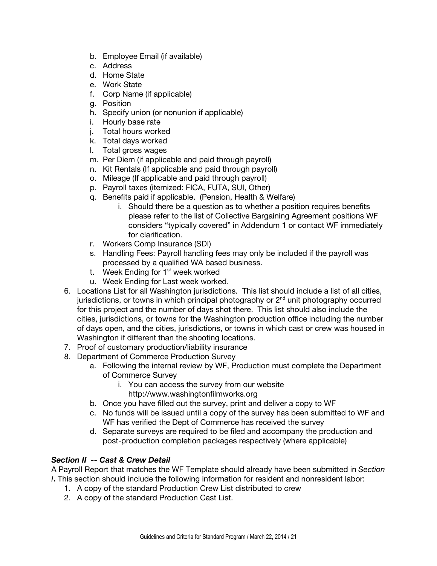- b. Employee Email (if available)
- c. Address
- d. Home State
- e. Work State
- f. Corp Name (if applicable)
- g. Position
- h. Specify union (or nonunion if applicable)
- i. Hourly base rate
- j. Total hours worked
- k. Total days worked
- l. Total gross wages
- m. Per Diem (if applicable and paid through payroll)
- n. Kit Rentals (If applicable and paid through payroll)
- o. Mileage (If applicable and paid through payroll)
- p. Payroll taxes (itemized: FICA, FUTA, SUI, Other)
- q. Benefits paid if applicable. (Pension, Health & Welfare)
	- i. Should there be a question as to whether a position requires benefits please refer to the list of Collective Bargaining Agreement positions WF considers "typically covered" in Addendum 1 or contact WF immediately for clarification.
- r. Workers Comp Insurance (SDI)
- s. Handling Fees: Payroll handling fees may only be included if the payroll was processed by a qualified WA based business.
- t. Week Ending for  $1<sup>st</sup>$  week worked
- u. Week Ending for Last week worked.
- 6. Locations List for all Washington jurisdictions. This list should include a list of all cities, jurisdictions, or towns in which principal photography or  $2<sup>nd</sup>$  unit photography occurred for this project and the number of days shot there. This list should also include the cities, jurisdictions, or towns for the Washington production office including the number of days open, and the cities, jurisdictions, or towns in which cast or crew was housed in Washington if different than the shooting locations.
- 7. Proof of customary production/liability insurance
- 8. Department of Commerce Production Survey
	- a. Following the internal review by WF, Production must complete the Department of Commerce Survey
		- i. You can access the survey from our website http://www.washingtonfilmworks.org
	- b. Once you have filled out the survey, print and deliver a copy to WF
	- c. No funds will be issued until a copy of the survey has been submitted to WF and WF has verified the Dept of Commerce has received the survey
	- d. Separate surveys are required to be filed and accompany the production and post-production completion packages respectively (where applicable)

# *Section II -- Cast & Crew Detail*

A Payroll Report that matches the WF Template should already have been submitted in *Section I***.** This section should include the following information for resident and nonresident labor:

- 1. A copy of the standard Production Crew List distributed to crew
- 2. A copy of the standard Production Cast List.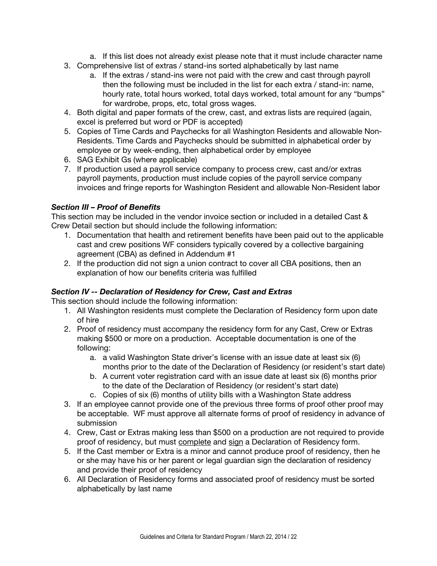- a. If this list does not already exist please note that it must include character name
- 3. Comprehensive list of extras / stand-ins sorted alphabetically by last name
	- a. If the extras / stand-ins were not paid with the crew and cast through payroll then the following must be included in the list for each extra / stand-in: name, hourly rate, total hours worked, total days worked, total amount for any "bumps" for wardrobe, props, etc, total gross wages.
- 4. Both digital and paper formats of the crew, cast, and extras lists are required (again, excel is preferred but word or PDF is accepted)
- 5. Copies of Time Cards and Paychecks for all Washington Residents and allowable Non-Residents. Time Cards and Paychecks should be submitted in alphabetical order by employee or by week-ending, then alphabetical order by employee
- 6. SAG Exhibit Gs (where applicable)
- 7. If production used a payroll service company to process crew, cast and/or extras payroll payments, production must include copies of the payroll service company invoices and fringe reports for Washington Resident and allowable Non-Resident labor

### *Section III – Proof of Benefits*

This section may be included in the vendor invoice section or included in a detailed Cast & Crew Detail section but should include the following information:

- 1. Documentation that health and retirement benefits have been paid out to the applicable cast and crew positions WF considers typically covered by a collective bargaining agreement (CBA) as defined in Addendum #1
- 2. If the production did not sign a union contract to cover all CBA positions, then an explanation of how our benefits criteria was fulfilled

# *Section IV -- Declaration of Residency for Crew, Cast and Extras*

This section should include the following information:

- 1. All Washington residents must complete the Declaration of Residency form upon date of hire
- 2. Proof of residency must accompany the residency form for any Cast, Crew or Extras making \$500 or more on a production. Acceptable documentation is one of the following:
	- a. a valid Washington State driver's license with an issue date at least six (6) months prior to the date of the Declaration of Residency (or resident's start date)
	- b. A current voter registration card with an issue date at least six (6) months prior to the date of the Declaration of Residency (or resident's start date)
	- c. Copies of six (6) months of utility bills with a Washington State address
- 3. If an employee cannot provide one of the previous three forms of proof other proof may be acceptable. WF must approve all alternate forms of proof of residency in advance of submission
- 4. Crew, Cast or Extras making less than \$500 on a production are not required to provide proof of residency, but must complete and sign a Declaration of Residency form.
- 5. If the Cast member or Extra is a minor and cannot produce proof of residency, then he or she may have his or her parent or legal guardian sign the declaration of residency and provide their proof of residency
- 6. All Declaration of Residency forms and associated proof of residency must be sorted alphabetically by last name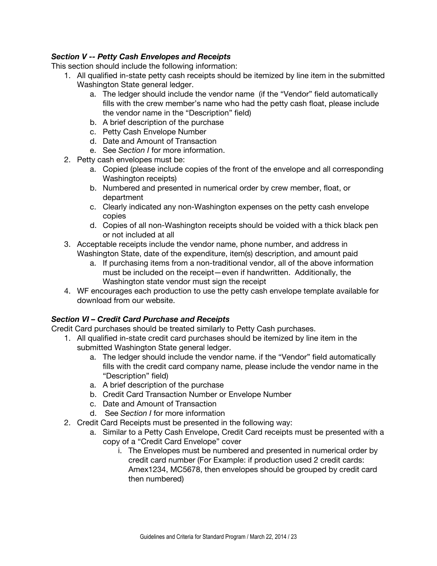### *Section V -- Petty Cash Envelopes and Receipts*

This section should include the following information:

- 1. All qualified in-state petty cash receipts should be itemized by line item in the submitted Washington State general ledger.
	- a. The ledger should include the vendor name (if the "Vendor" field automatically fills with the crew member's name who had the petty cash float, please include the vendor name in the "Description" field)
	- b. A brief description of the purchase
	- c. Petty Cash Envelope Number
	- d. Date and Amount of Transaction
	- e. See *Section I* for more information.
- 2. Petty cash envelopes must be:
	- a. Copied (please include copies of the front of the envelope and all corresponding Washington receipts)
	- b. Numbered and presented in numerical order by crew member, float, or department
	- c. Clearly indicated any non-Washington expenses on the petty cash envelope copies
	- d. Copies of all non-Washington receipts should be voided with a thick black pen or not included at all
- 3. Acceptable receipts include the vendor name, phone number, and address in Washington State, date of the expenditure, item(s) description, and amount paid
	- a. If purchasing items from a non-traditional vendor, all of the above information must be included on the receipt—even if handwritten. Additionally, the Washington state vendor must sign the receipt
- 4. WF encourages each production to use the petty cash envelope template available for download from our website.

### *Section VI – Credit Card Purchase and Receipts*

Credit Card purchases should be treated similarly to Petty Cash purchases.

- 1. All qualified in-state credit card purchases should be itemized by line item in the submitted Washington State general ledger.
	- a. The ledger should include the vendor name. if the "Vendor" field automatically fills with the credit card company name, please include the vendor name in the "Description" field)
	- a. A brief description of the purchase
	- b. Credit Card Transaction Number or Envelope Number
	- c. Date and Amount of Transaction
	- d. See *Section I* for more information
- 2. Credit Card Receipts must be presented in the following way:
	- a. Similar to a Petty Cash Envelope, Credit Card receipts must be presented with a copy of a "Credit Card Envelope" cover
		- i. The Envelopes must be numbered and presented in numerical order by credit card number (For Example: if production used 2 credit cards: Amex1234, MC5678, then envelopes should be grouped by credit card then numbered)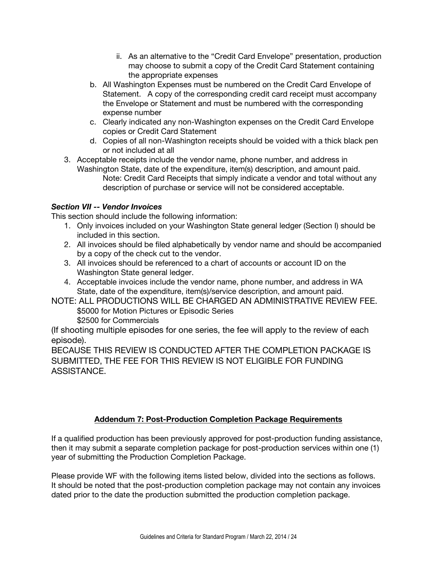- ii. As an alternative to the "Credit Card Envelope" presentation, production may choose to submit a copy of the Credit Card Statement containing the appropriate expenses
- b. All Washington Expenses must be numbered on the Credit Card Envelope of Statement. A copy of the corresponding credit card receipt must accompany the Envelope or Statement and must be numbered with the corresponding expense number
- c. Clearly indicated any non-Washington expenses on the Credit Card Envelope copies or Credit Card Statement
- d. Copies of all non-Washington receipts should be voided with a thick black pen or not included at all
- 3. Acceptable receipts include the vendor name, phone number, and address in Washington State, date of the expenditure, item(s) description, and amount paid. Note: Credit Card Receipts that simply indicate a vendor and total without any description of purchase or service will not be considered acceptable.

# *Section VII -- Vendor Invoices*

This section should include the following information:

- 1. Only invoices included on your Washington State general ledger (Section I) should be included in this section.
- 2. All invoices should be filed alphabetically by vendor name and should be accompanied by a copy of the check cut to the vendor.
- 3. All invoices should be referenced to a chart of accounts or account ID on the Washington State general ledger.
- 4. Acceptable invoices include the vendor name, phone number, and address in WA State, date of the expenditure, item(s)/service description, and amount paid.
- NOTE: ALL PRODUCTIONS WILL BE CHARGED AN ADMINISTRATIVE REVIEW FEE. \$5000 for Motion Pictures or Episodic Series \$2500 for Commercials

(If shooting multiple episodes for one series, the fee will apply to the review of each episode).

BECAUSE THIS REVIEW IS CONDUCTED AFTER THE COMPLETION PACKAGE IS SUBMITTED, THE FEE FOR THIS REVIEW IS NOT ELIGIBLE FOR FUNDING ASSISTANCE.

# **Addendum 7: Post-Production Completion Package Requirements**

If a qualified production has been previously approved for post-production funding assistance, then it may submit a separate completion package for post-production services within one (1) year of submitting the Production Completion Package.

Please provide WF with the following items listed below, divided into the sections as follows. It should be noted that the post-production completion package may not contain any invoices dated prior to the date the production submitted the production completion package.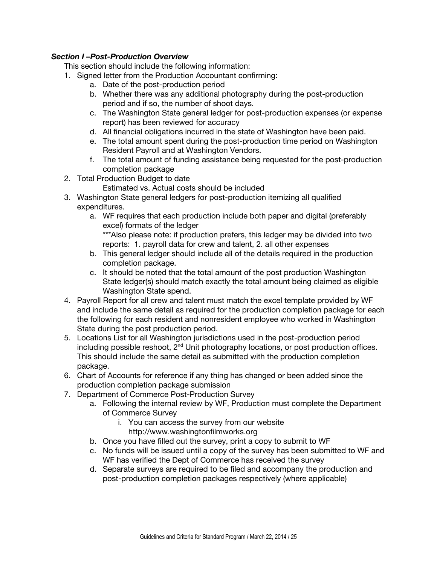### *Section I –Post-Production Overview*

This section should include the following information:

- 1. Signed letter from the Production Accountant confirming:
	- a. Date of the post-production period
	- b. Whether there was any additional photography during the post-production period and if so, the number of shoot days.
	- c. The Washington State general ledger for post-production expenses (or expense report) has been reviewed for accuracy
	- d. All financial obligations incurred in the state of Washington have been paid.
	- e. The total amount spent during the post-production time period on Washington Resident Payroll and at Washington Vendors.
	- f. The total amount of funding assistance being requested for the post-production completion package
- 2. Total Production Budget to date
	- Estimated vs. Actual costs should be included
- 3. Washington State general ledgers for post-production itemizing all qualified expenditures.
	- a. WF requires that each production include both paper and digital (preferably excel) formats of the ledger
		- \*\*\*Also please note: if production prefers, this ledger may be divided into two reports: 1. payroll data for crew and talent, 2. all other expenses
	- b. This general ledger should include all of the details required in the production completion package.
	- c. It should be noted that the total amount of the post production Washington State ledger(s) should match exactly the total amount being claimed as eligible Washington State spend.
- 4. Payroll Report for all crew and talent must match the excel template provided by WF and include the same detail as required for the production completion package for each the following for each resident and nonresident employee who worked in Washington State during the post production period.
- 5. Locations List for all Washington jurisdictions used in the post-production period including possible reshoot,  $2<sup>nd</sup>$  Unit photography locations, or post production offices. This should include the same detail as submitted with the production completion package.
- 6. Chart of Accounts for reference if any thing has changed or been added since the production completion package submission
- 7. Department of Commerce Post-Production Survey
	- a. Following the internal review by WF, Production must complete the Department of Commerce Survey
		- i. You can access the survey from our website
			- http://www.washingtonfilmworks.org
	- b. Once you have filled out the survey, print a copy to submit to WF
	- c. No funds will be issued until a copy of the survey has been submitted to WF and WF has verified the Dept of Commerce has received the survey
	- d. Separate surveys are required to be filed and accompany the production and post-production completion packages respectively (where applicable)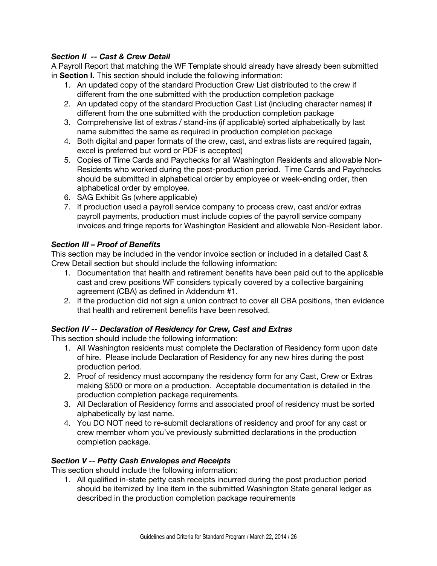# *Section II -- Cast & Crew Detail*

A Payroll Report that matching the WF Template should already have already been submitted in **Section I.** This section should include the following information:

- 1. An updated copy of the standard Production Crew List distributed to the crew if different from the one submitted with the production completion package
- 2. An updated copy of the standard Production Cast List (including character names) if different from the one submitted with the production completion package
- 3. Comprehensive list of extras / stand-ins (if applicable) sorted alphabetically by last name submitted the same as required in production completion package
- 4. Both digital and paper formats of the crew, cast, and extras lists are required (again, excel is preferred but word or PDF is accepted)
- 5. Copies of Time Cards and Paychecks for all Washington Residents and allowable Non-Residents who worked during the post-production period. Time Cards and Paychecks should be submitted in alphabetical order by employee or week-ending order, then alphabetical order by employee.
- 6. SAG Exhibit Gs (where applicable)
- 7. If production used a payroll service company to process crew, cast and/or extras payroll payments, production must include copies of the payroll service company invoices and fringe reports for Washington Resident and allowable Non-Resident labor.

# *Section III – Proof of Benefits*

This section may be included in the vendor invoice section or included in a detailed Cast & Crew Detail section but should include the following information:

- 1. Documentation that health and retirement benefits have been paid out to the applicable cast and crew positions WF considers typically covered by a collective bargaining agreement (CBA) as defined in Addendum #1.
- 2. If the production did not sign a union contract to cover all CBA positions, then evidence that health and retirement benefits have been resolved.

# *Section IV -- Declaration of Residency for Crew, Cast and Extras*

This section should include the following information:

- 1. All Washington residents must complete the Declaration of Residency form upon date of hire. Please include Declaration of Residency for any new hires during the post production period.
- 2. Proof of residency must accompany the residency form for any Cast, Crew or Extras making \$500 or more on a production. Acceptable documentation is detailed in the production completion package requirements.
- 3. All Declaration of Residency forms and associated proof of residency must be sorted alphabetically by last name.
- 4. You DO NOT need to re-submit declarations of residency and proof for any cast or crew member whom you've previously submitted declarations in the production completion package.

# *Section V -- Petty Cash Envelopes and Receipts*

This section should include the following information:

1. All qualified in-state petty cash receipts incurred during the post production period should be itemized by line item in the submitted Washington State general ledger as described in the production completion package requirements